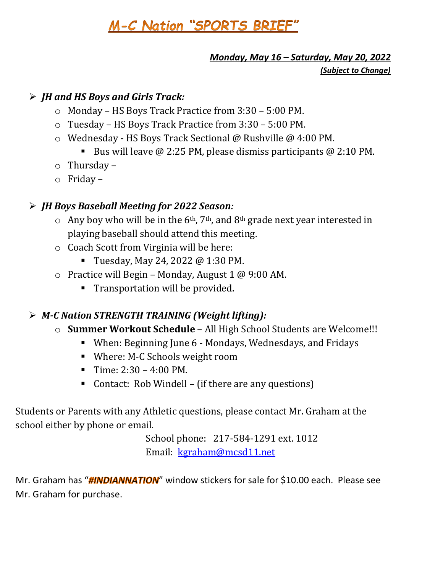# M-C Nation "SPORTS BRIEF"

## *Monday, May 16 – Saturday, May 20, 2022*

*(Subject to Change)*

#### ➢ *JH and HS Boys and Girls Track:*

- o Monday HS Boys Track Practice from 3:30 5:00 PM.
- o Tuesday HS Boys Track Practice from 3:30 5:00 PM.
- o Wednesday HS Boys Track Sectional @ Rushville @ 4:00 PM.
	- E Bus will leave  $\omega$  2:25 PM, please dismiss participants  $\omega$  2:10 PM.
- o Thursday –
- o Friday –

#### ➢ *JH Boys Baseball Meeting for 2022 Season:*

- $\circ$  Any boy who will be in the 6<sup>th</sup>, 7<sup>th</sup>, and 8<sup>th</sup> grade next year interested in playing baseball should attend this meeting.
- o Coach Scott from Virginia will be here:
	- Tuesday, May 24, 2022 @ 1:30 PM.
- $\circ$  Practice will Begin Monday, August 1 @ 9:00 AM.
	- Transportation will be provided.

### ➢ *M-C Nation STRENGTH TRAINING (Weight lifting):*

- o **Summer Workout Schedule** All High School Students are Welcome!!!
	- When: Beginning June 6 Mondays, Wednesdays, and Fridays
	- Where: M-C Schools weight room
	- $\blacksquare$  Time: 2:30 4:00 PM.
	- Contact: Rob Windell (if there are any questions)

Students or Parents with any Athletic questions, please contact Mr. Graham at the school either by phone or email.

> School phone: 217-584-1291 ext. 1012 Email: [kgraham@mcsd11.net](mailto:kgraham@mcsd11.net)

Mr. Graham has "**#INDIANNATION**" window stickers for sale for \$10.00 each. Please see Mr. Graham for purchase.